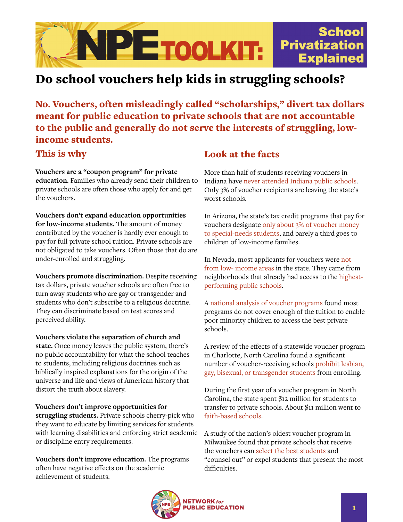

## Do school vouchers help kids in struggling schools?

No**.** Vouchers, often misleadingly called "scholarships," divert tax dollars meant for public education to private schools that are not accountable to the public and generally do not serve the interests of struggling, lowincome students.

This is why

**Vouchers are a "coupon program" for private education.** Families who already send their children to private schools are often those who apply for and get the vouchers.

**Vouchers don't expand education opportunities for low-income students.** The amount of money contributed by the voucher is hardly ever enough to pay for full private school tuition. Private schools are not obligated to take vouchers. Often those that do are under-enrolled and struggling.

**Vouchers promote discrimination.** Despite receiving tax dollars, private voucher schools are often free to turn away students who are gay or transgender and students who don't subscribe to a religious doctrine. They can discriminate based on test scores and perceived ability.

**Vouchers violate the separation of church and state.** Once money leaves the public system, there's no public accountability for what the school teaches to students, including religious doctrines such as biblically inspired explanations for the origin of the universe and life and views of American history that distort the truth about slavery.

**Vouchers don't improve opportunities for struggling students.** Private schools cherry-pick who they want to educate by limiting services for students with learning disabilities and enforcing strict academic or discipline entry requirements.

**Vouchers don't improve education.** The programs often have negative effects on the academic achievement of students.

## Look at the facts

More than half of students receiving vouchers in Indiana have [never attended Indiana public schools.](https://www.washingtonpost.com/local/education/how-indianas-school-voucher-program-soared-and-what-it-says-about-education-in-the-trump-era/2016/12/26/13d1d3ec-bc97-11e6-91ee-1adddfe36cbe_story.html) Only 3% of voucher recipients are leaving the state's worst schools.

In Arizona, the state's tax credit programs that pay for vouchers designate [only about 3% of voucher money](https://www.azcentral.com/story/news/arizona/investigations/2015/07/26/private-school-families-arizona-tax-credit-program/30647833/)  [to special-needs students,](https://www.azcentral.com/story/news/arizona/investigations/2015/07/26/private-school-families-arizona-tax-credit-program/30647833/) and barely a third goes to children of low-income families.

In Nevada, most applicants for vouchers were [not](https://www.reviewjournal.com/local/education/most-applicants-for-school-choice-program-are-from-wealthy-neighborhoods/)  [from low- income areas](https://www.reviewjournal.com/local/education/most-applicants-for-school-choice-program-are-from-wealthy-neighborhoods/) in the state. They came from neighborhoods that already had access to the [highest](https://lasvegassun.com/news/2017/jan/25/esa-data-zip-code-inner-city-suburbs/)[performing public schools](https://lasvegassun.com/news/2017/jan/25/esa-data-zip-code-inner-city-suburbs/).

A [national analysis of voucher programs](https://eric.ed.gov/?id=EJ1113047) found most programs do not cover enough of the tuition to enable poor minority children to access the best private schools.

A review of the effects of a statewide voucher program in Charlotte, North Carolina found a significant number of voucher-receiving schools [prohibit lesbian,](https://www.charlotteobserver.com/news/local/article95390197.html)  [gay, bisexual, or transgender students](https://www.charlotteobserver.com/news/local/article95390197.html) from enrolling.

During the first year of a voucher program in North Carolina, the state spent \$12 million for students to transfer to private schools. About \$11 million went to [faith-based schools](https://www.charlotteobserver.com/news/local/education/article70759617.html).

A study of the nation's oldest voucher program in Milwaukee found that private schools that receive the vouchers can [select the best students](https://www.researchgate.net/publication/256053549_School_Vouchers_and_Student_Attainment_New_Evidence_from_a_State-Mandated_Study_of_Milwaukee) and "counsel out" or expel students that present the most difficulties.